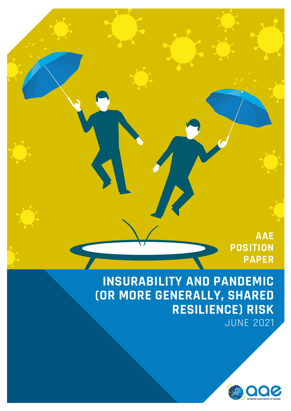*AAE* **POSITION PAPER**

> **INSURABILITY AND PANDEMIC (OR MORE GENERALLY, SHARED RESILIENCE) RISK** JUNE 2021

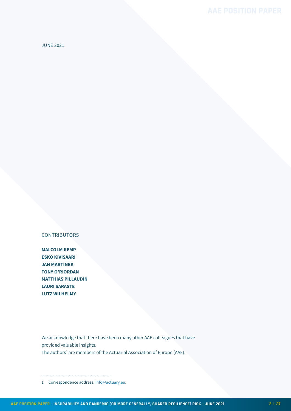JUNE 2021

### **CONTRIBUTORS**

**MALCOLM KEMP ESKO KIVISAARI JAN MARTINEK TONY O'RIORDAN MATTHIAS PILLAUDIN LAURI SARASTE LUTZ WILHELMY**

We acknowledge that there have been many other AAE colleagues that have provided valuable insights.

The authors<sup>1</sup> are members of the Actuarial Association of Europe (AAE).

#### 

1 Correspondence address: [info@actuary.eu](mailto:info%40actuary.eu?subject=).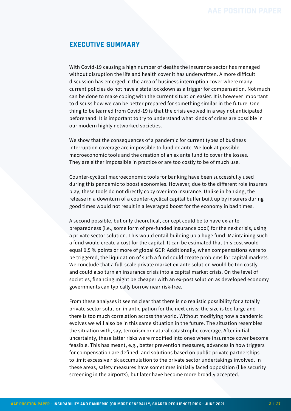### <span id="page-2-0"></span>**EXECUTIVE SUMMARY**

With Covid-19 causing a high number of deaths the insurance sector has managed without disruption the life and health cover it has underwritten. A more difficult discussion has emerged in the area of business interruption cover where many current policies do not have a state lockdown as a trigger for compensation. Not much can be done to make coping with the current situation easier. It is however important to discuss how we can be better prepared for something similar in the future. One thing to be learned from Covid-19 is that the crisis evolved in a way not anticipated beforehand. It is important to try to understand what kinds of crises are possible in our modern highly networked societies.

We show that the consequences of a pandemic for current types of business interruption coverage are impossible to fund ex ante. We look at possible macroeconomic tools and the creation of an ex ante fund to cover the losses. They are either impossible in practice or are too costly to be of much use.

Counter-cyclical macroeconomic tools for banking have been successfully used during this pandemic to boost economies. However, due to the different role insurers play, these tools do not directly copy over into insurance. Unlike in banking, the release in a downturn of a counter-cyclical capital buffer built up by insurers during good times would not result in a leveraged boost for the economy in bad times.

A second possible, but only theoretical, concept could be to have ex-ante preparedness (i.e., some form of pre-funded insurance pool) for the next crisis, using a private sector solution. This would entail building up a huge fund. Maintaining such a fund would create a cost for the capital. It can be estimated that this cost would equal 0,5 % points or more of global GDP. Additionally, when compensations were to be triggered, the liquidation of such a fund could create problems for capital markets. We conclude that a full-scale private market ex-ante solution would be too costly and could also turn an insurance crisis into a capital market crisis. On the level of societies, financing might be cheaper with an ex-post solution as developed economy governments can typically borrow near risk-free.

From these analyses it seems clear that there is no realistic possibility for a totally private sector solution in anticipation for the next crisis; the size is too large and there is too much correlation across the world. Without modifying how a pandemic evolves we will also be in this same situation in the future. The situation resembles the situation with, say, terrorism or natural catastrophe coverage. After initial uncertainty, these latter risks were modified into ones where insurance cover become feasible. This has meant, e.g., better prevention measures, advances in how triggers for compensation are defined, and solutions based on public private partnerships to limit excessive risk accumulation to the private sector undertakings involved. In these areas, safety measures have sometimes initially faced opposition (like security screening in the airports), but later have become more broadly accepted.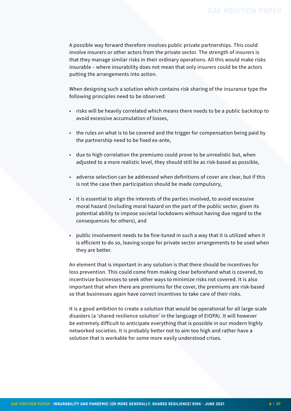A possible way forward therefore involves public private partnerships. This could involve insurers or other actors from the private sector. The strength of insurers is that they manage similar risks in their ordinary operations. All this would make risks insurable – where insurability does not mean that only insurers could be the actors putting the arrangements into action.

When designing such a solution which contains risk sharing of the insurance type the following principles need to be observed:

- risks will be heavily correlated which means there needs to be a public backstop to avoid excessive accumulation of losses,
- the rules on what is to be covered and the trigger for compensation being paid by the partnership need to be fixed ex-ante,
- due to high correlation the premiums could prove to be unrealistic but, when adjusted to a more realistic level, they should still be as risk-based as possible,
- adverse selection can be addressed when definitions of cover are clear, but if this is not the case then participation should be made compulsory,
- it is essential to align the interests of the parties involved, to avoid excessive moral hazard (including moral hazard on the part of the public sector, given its potential ability to impose societal lockdowns without having due regard to the consequences for others), and
- public involvement needs to be fine-tuned in such a way that it is utilized when it is efficient to do so, leaving scope for private sector arrangements to be used when they are better.

An element that is important in any solution is that there should be incentives for loss prevention. This could come from making clear beforehand what is covered, to incentivize businesses to seek other ways to minimize risks not covered. It is also important that when there are premiums for the cover, the premiums are risk-based so that businesses again have correct incentives to take care of their risks.

It is a good ambition to create a solution that would be operational for all large-scale disasters (a 'shared resilience solution' in the language of EIOPA). It will however be extremely difficult to anticipate everything that is possible in our modern highly networked societies. It is probably better not to aim too high and rather have a solution that is workable for some more easily understood crises.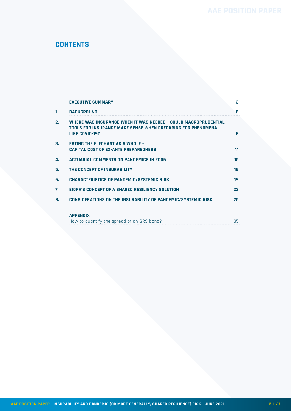# **CONTENTS**

|    | <b>EXECUTIVE SUMMARY</b>                                                                                                                        | з  |
|----|-------------------------------------------------------------------------------------------------------------------------------------------------|----|
| 1. | <b>BACKGROUND</b>                                                                                                                               | 6  |
| 2. | WHERE WAS INSURANCE WHEN IT WAS NEEDED - COULD MACROPRUDENTIAL<br>TOOLS FOR INSURANCE MAKE SENSE WHEN PREPARING FOR PHENOMENA<br>LIKE COVID-19? | 8  |
| 3. | <b>EATING THE ELEPHANT AS A WHOLE -</b><br><b>CAPITAL COST OF EX-ANTE PREPAREDNESS</b>                                                          |    |
| 4. | <b>ACTUARIAL COMMENTS ON PANDEMICS IN 2006</b>                                                                                                  | 15 |
| 5. | THE CONCEPT OF INSURABILITY                                                                                                                     | 16 |
| 6. | <b>CHARACTERISTICS OF PANDEMIC/SYSTEMIC RISK</b>                                                                                                | 19 |
| 7. | EIOPA'S CONCEPT OF A SHARED RESILIENCY SOLUTION                                                                                                 | 23 |
| 8. | CONSIDERATIONS ON THE INSURABILITY OF PANDEMIC/SYSTEMIC RISK                                                                                    | 25 |
|    | <b>APPENDIX</b><br>How to quantify the spread of an SRS bond?                                                                                   | 35 |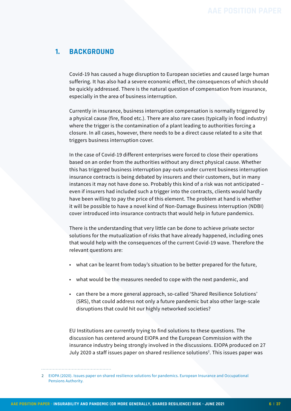## <span id="page-5-0"></span>**1. BACKGROUND**

Covid-19 has caused a huge disruption to European societies and caused large human suffering. It has also had a severe economic effect, the consequences of which should be quickly addressed. There is the natural question of compensation from insurance, especially in the area of business interruption.

Currently in insurance, business interruption compensation is normally triggered by a physical cause (fire, flood etc.). There are also rare cases (typically in food industry) where the trigger is the contamination of a plant leading to authorities forcing a closure. In all cases, however, there needs to be a direct cause related to a site that triggers business interruption cover.

In the case of Covid-19 different enterprises were forced to close their operations based on an order from the authorities without any direct physical cause. Whether this has triggered business interruption pay-outs under current business interruption insurance contracts is being debated by insurers and their customers, but in many instances it may not have done so. Probably this kind of a risk was not anticipated – even if insurers had included such a trigger into the contracts, clients would hardly have been willing to pay the price of this element. The problem at hand is whether it will be possible to have a novel kind of Non-Damage Business Interruption (NDBI) cover introduced into insurance contracts that would help in future pandemics.

There is the understanding that very little can be done to achieve private sector solutions for the mutualization of risks that have already happened, including ones that would help with the consequences of the current Covid-19 wave. Therefore the relevant questions are:

- what can be learnt from today's situation to be better prepared for the future,
- what would be the measures needed to cope with the next pandemic, and
- can there be a more general approach, so-called 'Shared Resilience Solutions' (SRS), that could address not only a future pandemic but also other large-scale disruptions that could hit our highly networked societies?

EU Institutions are currently trying to find solutions to these questions. The discussion has centered around EIOPA and the European Commission with the insurance industry being strongly involved in the discussions. EIOPA produced on 27 July 2020 a staff issues paper on shared resilience solutions<sup>2</sup>. This issues paper was

<sup>2</sup> [EIOPA \(2020\). Issues paper on shared resilience solutions for pandemics. European Insurance and Occupational](https://www.eiopa.europa.eu/content/issues-paper-resilience-solutions-pandemics_en)  [Pensions Authority.](https://www.eiopa.europa.eu/content/issues-paper-resilience-solutions-pandemics_en)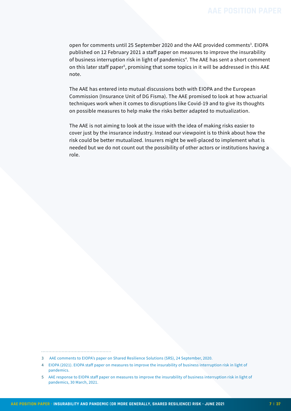open for comments until 25 September 2020 and the AAE provided comments<sup>3</sup>. EIOPA published on 12 February 2021 a staff paper on measures to improve the insurability of business interruption risk in light of pandemics<sup>4</sup>. The AAE has sent a short comment on this later staff paper<sup>5</sup>, promising that some topics in it will be addressed in this AAE note.

The AAE has entered into mutual discussions both with EIOPA and the European Commission (Insurance Unit of DG Fisma). The AAE promised to look at how actuarial techniques work when it comes to disruptions like Covid-19 and to give its thoughts on possible measures to help make the risks better adapted to mutualization.

The AAE is not aiming to look at the issue with the idea of making risks easier to cover just by the insurance industry. Instead our viewpoint is to think about how the risk could be better mutualized. Insurers might be well-placed to implement what is needed but we do not count out the possibility of other actors or institutions having a role.

<sup>3</sup> [AAE comments to EIOPA's paper on Shared Resilience Solutions \(SRS\), 24 September, 2020.](https://actuary.eu/aae-responds-to-the-eiopa-consultation-on-shared-resilience-solutions/)

<sup>4</sup> [EIOPA \(2021\). EIOPA staff paper on measures to improve the insurability of business interruption risk in light of](https://www.eiopa.europa.eu/content/eiopa-staff-paper-measures-improve-insurability-of-business-interruption-risk-light-of_en)  [pandemics.](https://www.eiopa.europa.eu/content/eiopa-staff-paper-measures-improve-insurability-of-business-interruption-risk-light-of_en)

<sup>5</sup> [AAE response to EIOPA staff paper on measures to improve the insurability of business interruption risk in light of](https://actuary.eu/wp-content/uploads/2021/03/20210324-AAE-comments-EIOPA-pandemics-FINAL.pdf)  [pandemics, 30 March, 2021.](https://actuary.eu/wp-content/uploads/2021/03/20210324-AAE-comments-EIOPA-pandemics-FINAL.pdf)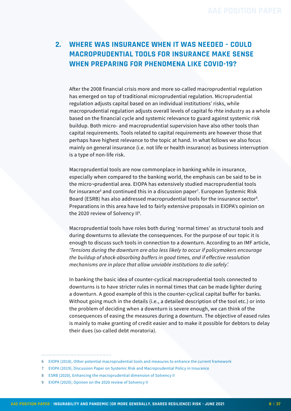# <span id="page-7-0"></span>**2. WHERE WAS INSURANCE WHEN IT WAS NEEDED – COULD MACROPRUDENTIAL TOOLS FOR INSURANCE MAKE SENSE WHEN PREPARING FOR PHENOMENA LIKE COVID-19?**

After the 2008 financial crisis more and more so-called macroprudential regulation has emerged on top of traditional microprudential regulation. Microprudential regulation adjusts capital based on an individual institutions' risks, while macroprudential regulation adjusts overall levels of capital fo rhte industry as a whole based on the financial cycle and systemic relevance to guard against systemic risk buildup. Both micro- and macroprudential supervision have also other tools than capital requirements. Tools related to capital requirements are however those that perhaps have highest relevance to the topic at hand. In what follows we also focus mainly on general insurance (i.e. not life or health insurance) as business interruption is a type of non-life risk.

Macroprudential tools are now commonplace in banking while in insurance, especially when compared to the banking world, the emphasis can be said to be in the micro¬prudential area. EIOPA has extensively studied macroprudential tools for insurance<sup>6</sup> and continued this in a discussion paper<sup>7</sup>. European Systemic Risk Board (ESRB) has also addressed macroprudential tools for the insurance sector<sup>8</sup>. Preparations in this area have led to fairly extensive proposals in EIOPA's opinion on the 2020 review of Solvency II<sup>9</sup>.

Macroprudential tools have roles both during 'normal times' as structural tools and during downturns to alleviate the consequences. For the purpose of our topic it is enough to discuss such tools in connection to a downturn. According to an IMF article, *'Tensions during the downturn are also less likely to occur if policymakers encourage the buildup of shock-absorbing buffers in good times, and if effective resolution mechanisms are in place that allow unviable institutions to die safely'.* 

In banking the basic idea of counter-cyclical macroprudential tools connected to downturns is to have stricter rules in normal times that can be made lighter during a downturn. A good example of this is the counter-cyclical capital buffer for banks. Without going much in the details (i.e., a detailed description of the tool etc.) or into the problem of deciding when a downturn is severe enough, we can think of the consequences of easing the measures during a downturn. The objective of eased rules is mainly to make granting of credit easier and to make it possible for debtors to delay their dues (so-called debt moratoria).

<sup>6</sup> [EIOPA \(2018\), Other potential macroprudential tools and measures to enhance the current framework](https://www.eiopa.europa.eu/sites/default/files/publications/pdfs/eiopa_other_potential_macroprudential_tools_0.pdf)

<sup>7</sup> [EIOPA \(2019\), Discussion Paper on Systemic Risk and Macroprudential Policy in Insurance](https://www.eiopa.europa.eu/sites/default/files/publications/pdfs/2019-03-29_discussionpapersystemicriskmarcoprudentialpolicyinsurance_0.pdf)

<sup>8</sup> [ESRB \(2020\), Enhancing the macroprudential dimension of Solvency II](https://www.esrb.europa.eu/news/pr/date/2020/html/esrb.pr200226~b6a644c57b.en.html)

<sup>9</sup> [EIOPA \(2020\), Opinion on the 2020 review of Solvency II](https://www.eiopa.europa.eu/content/opinion-2020-review-of-solvency-ii_en)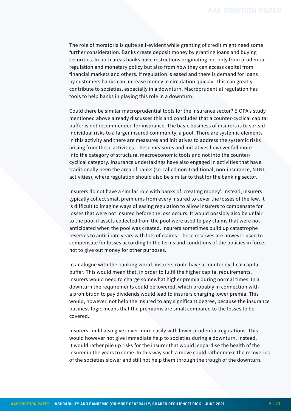The role of moratoria is quite self-evident while granting of credit might need some further consideration. Banks create deposit money by granting loans and buying securities. In both areas banks have restrictions originating not only from prudential regulation and monetary policy but also from how they can access capital from financial markets and others. If regulation is eased and there is demand for loans by customers banks can increase money in circulation quickly. This can greatly contribute to societies, especially in a downturn. Macroprudential regulation has tools to help banks in playing this role in a downturn.

Could there be similar macroprudential tools for the insurance sector? EIOPA's study mentioned above already discusses this and concludes that a counter-cyclical capital buffer is not recommended for insurance. The basic business of insurers is to spread individual risks to a larger insured community, a pool. There are systemic elements in this activity and there are measures and initiatives to address the systemic risks arising from these activities. These measures and initiatives however fall more into the category of structural macroeconomic tools and not into the countercyclical category. Insurance undertakings have also engaged in activities that have traditionally been the area of banks (so-called non-traditional, non-insurance, NTNI, activities), where regulation should also be similar to that for the banking sector.

Insurers do not have a similar role with banks of 'creating money'. Instead, insurers typically collect small premiums from every insured to cover the losses of the few. It is difficult to imagine ways of easing regulation to allow insurers to compensate for losses that were not insured before the loss occurs. It would possibly also be unfair to the pool if assets collected from the pool were used to pay claims that were not anticipated when the pool was created. Insurers sometimes build up catastrophe reserves to anticipate years with lots of claims. These reserves are however used to compensate for losses according to the terms and conditions of the policies in force, not to give out money for other purposes.

In analogue with the banking world, insurers could have a counter-cyclical capital buffer. This would mean that, in order to fulfil the higher capital requirements, insurers would need to charge somewhat higher premia during normal times. In a downturn the requirements could be lowered, which probably in connection with a prohibition to pay dividends would lead to insurers charging lower premia. This would, however, not help the insured to any significant degree, because the insurance business logic means that the premiums are small compared to the losses to be covered.

Insurers could also give cover more easily with lower prudential regulations. This would however not give immediate help to societies during a downturn. Instead, it would rather pile up risks for the insurer that would jeopardise the health of the insurer in the years to come. In this way such a move could rather make the recoveries of the societies slower and still not help them through the trough of the downturn.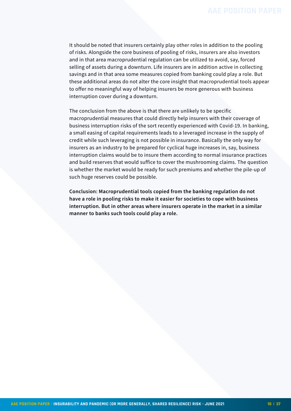It should be noted that insurers certainly play other roles in addition to the pooling of risks. Alongside the core business of pooling of risks, insurers are also investors and in that area macroprudential regulation can be utilized to avoid, say, forced selling of assets during a downturn. Life insurers are in addition active in collecting savings and in that area some measures copied from banking could play a role. But these additional areas do not alter the core insight that macroprudential tools appear to offer no meaningful way of helping insurers be more generous with business interruption cover during a downturn.

The conclusion from the above is that there are unlikely to be specific macroprudential measures that could directly help insurers with their coverage of business interruption risks of the sort recently experienced with Covid-19. In banking, a small easing of capital requirements leads to a leveraged increase in the supply of credit while such leveraging is not possible in insurance. Basically the only way for insurers as an industry to be prepared for cyclical huge increases in, say, business interruption claims would be to insure them according to normal insurance practices and build reserves that would suffice to cover the mushrooming claims. The question is whether the market would be ready for such premiums and whether the pile-up of such huge reserves could be possible.

**Conclusion: Macroprudential tools copied from the banking regulation do not have a role in pooling risks to make it easier for societies to cope with business interruption. But in other areas where insurers operate in the market in a similar manner to banks such tools could play a role.**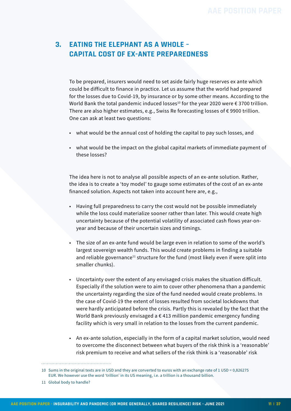# <span id="page-10-0"></span>**3. EATING THE ELEPHANT AS A WHOLE – CAPITAL COST OF EX-ANTE PREPAREDNESS**

To be prepared, insurers would need to set aside fairly huge reserves ex ante which could be difficult to finance in practice. Let us assume that the world had prepared for the losses due to Covid-19, by insurance or by some other means. According to the World Bank the total pandemic induced losses<sup>10</sup> for the year 2020 were  $\epsilon$  3700 trillion. There are also higher estimates, e.g., Swiss Re forecasting losses of  $\epsilon$  9900 trillion. One can ask at least two questions:

- what would be the annual cost of holding the capital to pay such losses, and
- what would be the impact on the global capital markets of immediate payment of these losses?

The idea here is not to analyse all possible aspects of an ex-ante solution. Rather, the idea is to create a 'toy model' to gauge some estimates of the cost of an ex-ante financed solution. Aspects not taken into account here are, e.g.,

- Having full preparedness to carry the cost would not be possible immediately while the loss could materialize sooner rather than later. This would create high uncertainty because of the potential volatility of associated cash flows year-onyear and because of their uncertain sizes and timings.
- The size of an ex-ante fund would be large even in relation to some of the world's largest sovereign wealth funds. This would create problems in finding a suitable and reliable governance<sup>11</sup> structure for the fund (most likely even if were split into smaller chunks).
- Uncertainty over the extent of any envisaged crisis makes the situation difficult. Especially if the solution were to aim to cover other phenomena than a pandemic the uncertainty regarding the size of the fund needed would create problems. In the case of Covid-19 the extent of losses resulted from societal lockdowns that were hardly anticipated before the crisis. Partly this is revealed by the fact that the World Bank previously envisaged a  $\epsilon$  413 million pandemic emergency funding facility which is very small in relation to the losses from the current pandemic.
- An ex-ante solution, especially in the form of a capital market solution, would need to overcome the disconnect between what buyers of the risk think is a 'reasonable' risk premium to receive and what sellers of the risk think is a 'reasonable' risk

<sup>10</sup> Sums in the original texts are in USD and they are converted to euros with an exchange rate of 1 USD = 0,826275 EUR. We however use the word 'trillion' in its US meaning, i.e. a trillion is a thousand billion.

<sup>11</sup> Global body to handle?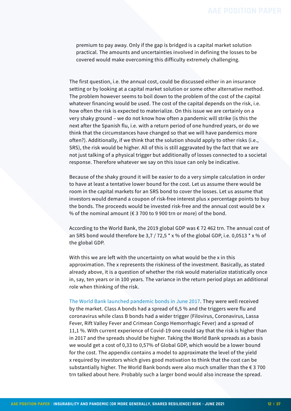premium to pay away. Only if the gap is bridged is a capital market solution practical. The amounts and uncertainties involved in defining the losses to be covered would make overcoming this difficulty extremely challenging.

The first question, i.e. the annual cost, could be discussed either in an insurance setting or by looking at a capital market solution or some other alternative method. The problem however seems to boil down to the problem of the cost of the capital whatever financing would be used. The cost of the capital depends on the risk, i.e. how often the risk is expected to materialize. On this issue we are certainly on a very shaky ground – we do not know how often a pandemic will strike (is this the next after the Spanish flu, i.e. with a return period of one hundred years, or do we think that the circumstances have changed so that we will have pandemics more often?). Additionally, if we think that the solution should apply to other risks (i.e., SRS), the risk would be higher. All of this is still aggravated by the fact that we are not just talking of a physical trigger but additionally of losses connected to a societal response. Therefore whatever we say on this issue can only be indicative.

Because of the shaky ground it will be easier to do a very simple calculation in order to have at least a tentative lower bound for the cost. Let us assume there would be room in the capital markets for an SRS bond to cover the losses. Let us assume that investors would demand a coupon of risk-free interest plus x percentage points to buy the bonds. The proceeds would be invested risk-free and the annual cost would be x % of the nominal amount ( $\epsilon$  3 700 to 9 900 trn or more) of the bond.

According to the World Bank, the 2019 global GDP was € 72 462 trn. The annual cost of an SRS bond would therefore be 3,7 / 72,5  $*$  x % of the global GDP, i.e. 0,0513  $*$  x % of the global GDP.

With this we are left with the uncertainty on what would be the x in this approximation. The x represents the riskiness of the investment. Basically, as stated already above, it is a question of whether the risk would materialize statistically once in, say, ten years or in 100 years. The variance in the return period plays an additional role when thinking of the risk.

[The World Bank launched pandemic bonds in June 2017.](https://www.worldbank.org/en/news/press-release/2017/06/28/world-bank-launches-first-ever-pandemic-bonds-to-support-500-million-pandemic-emergency-financing-facility) They were well received by the market. Class A bonds had a spread of 6,5 % and the triggers were flu and coronavirus while class B bonds had a wider trigger (Filovirus, Coronavirus, Lassa Fever, Rift Valley Fever and Crimean Congo Hemorrhagic Fever) and a spread of 11,1 %. With current experience of Covid-19 one could say that the risk is higher than in 2017 and the spreads should be higher. Taking the World Bank spreads as a basis we would get a cost of 0,33 to 0,57% of Global GDP, which would be a lower bound for the cost. The appendix contains a model to approximate the level of the yield x required by investors which gives good motivation to think that the cost can be substantially higher. The World Bank bonds were also much smaller than the  $\epsilon$  3 700 trn talked about here. Probably such a larger bond would also increase the spread.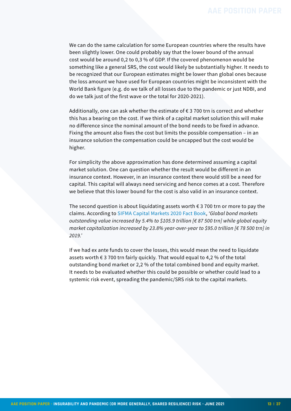We can do the same calculation for some European countries where the results have been slightly lower. One could probably say that the lower bound of the annual cost would be around 0,2 to 0,3 % of GDP. If the covered phenomenon would be something like a general SRS, the cost would likely be substantially higher. It needs to be recognized that our European estimates might be lower than global ones because the loss amount we have used for European countries might be inconsistent with the World Bank figure (e.g. do we talk of all losses due to the pandemic or just NDBI, and do we talk just of the first wave or the total for 2020-2021).

Additionally, one can ask whether the estimate of  $\epsilon$  3 700 trn is correct and whether this has a bearing on the cost. If we think of a capital market solution this will make no difference since the nominal amount of the bond needs to be fixed in advance. Fixing the amount also fixes the cost but limits the possible compensation – in an insurance solution the compensation could be uncapped but the cost would be higher.

For simplicity the above approximation has done determined assuming a capital market solution. One can question whether the result would be different in an insurance context. However, in an insurance context there would still be a need for capital. This capital will always need servicing and hence comes at a cost. Therefore we believe that this lower bound for the cost is also valid in an insurance context.

The second question is about liquidating assets worth  $\epsilon$  3 700 trn or more to pay the claims. According to [SIFMA Capital Markets 2020 Fact Book](https://www.sifma.org/resources/research/fact-book/), *'Global bond markets outstanding value increased by 5.4% to \$105.9 trillion [€ 87 500 trn] while global equity market capitalization increased by 23.8% year-over-year to \$95.0 trillion [€ 78 500 trn] in 2019.'* 

If we had ex ante funds to cover the losses, this would mean the need to liquidate assets worth  $\epsilon$  3 700 trn fairly quickly. That would equal to 4,2 % of the total outstanding bond market or 2,2 % of the total combined bond and equity market. It needs to be evaluated whether this could be possible or whether could lead to a systemic risk event, spreading the pandemic/SRS risk to the capital markets.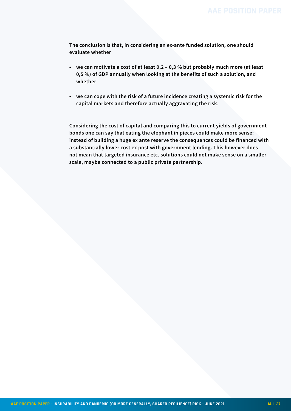**The conclusion is that, in considering an ex-ante funded solution, one should evaluate whether**

- **• we can motivate a cost of at least 0,2 0,3 % but probably much more (at least 0,5 %) of GDP annually when looking at the benefits of such a solution, and whether**
- **• we can cope with the risk of a future incidence creating a systemic risk for the capital markets and therefore actually aggravating the risk.**

**Considering the cost of capital and comparing this to current yields of government bonds one can say that eating the elephant in pieces could make more sense: instead of building a huge ex ante reserve the consequences could be financed with a substantially lower cost ex post with government lending. This however does not mean that targeted insurance etc. solutions could not make sense on a smaller scale, maybe connected to a public private partnership.**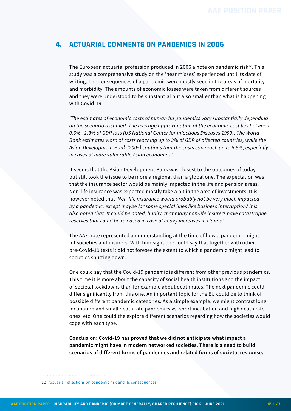## <span id="page-14-0"></span>**4. ACTUARIAL COMMENTS ON PANDEMICS IN 2006**

The European actuarial profession produced in 2006 a note on pandemic risk $12$ . This study was a comprehensive study on the 'near misses' experienced until its date of writing. The consequences of a pandemic were mostly seen in the areas of mortality and morbidity. The amounts of economic losses were taken from different sources and they were understood to be substantial but also smaller than what is happening with Covid-19:

*'The estimates of economic costs of human flu pandemics vary substantially depending on the scenario assumed. The average approximation of the economic cost lies between 0.6% - 1.3% of GDP loss (US National Center for Infectious Diseases 1999). The World Bank estimates warn of costs reaching up to 2% of GDP of affected countries, while the Asian Development Bank (2005) cautions that the costs can reach up to 6.5%, especially in cases of more vulnerable Asian economies.'*

It seems that the Asian Development Bank was closest to the outcomes of today but still took the issue to be more a regional than a global one. The expectation was that the insurance sector would be mainly impacted in the life and pension areas. Non-life insurance was expected mostly take a hit in the area of investments. It is however noted that *'Non-life insurance would probably not be very much impacted by a pandemic, except maybe for some special lines like business interruption.' It is also noted that 'It could be noted, finally, that many non-life insurers have catastrophe reserves that could be released in case of heavy increases in claims.'*

The AAE note represented an understanding at the time of how a pandemic might hit societies and insurers. With hindsight one could say that together with other pre-Covid-19 texts it did not foresee the extent to which a pandemic might lead to societies shutting down.

One could say that the Covid-19 pandemic is different from other previous pandemics. This time it is more about the capacity of social health institutions and the impact of societal lockdowns than for example about death rates. The next pandemic could differ significantly from this one. An important topic for the EU could be to think of possible different pandemic categories. As a simple example, we might contrast long incubation and small death rate pandemics vs. short incubation and high death rate ones, etc. One could the explore different scenarios regarding how the societies would cope with each type.

**Conclusion: Covid-19 has proved that we did not anticipate what impact a pandemic might have in modern networked societies. There is a need to build scenarios of different forms of pandemics and related forms of societal response.**

<sup>12</sup> [Actuarial reflections on pandemic risk and its consequences.](https://actuary.eu/memos/actuarial-reflections-on-pandemic-risk-and-its-consequences/)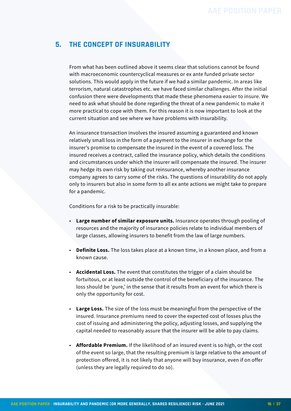# <span id="page-15-0"></span>**5. THE CONCEPT OF INSURABILITY**

From what has been outlined above it seems clear that solutions cannot be found with macroeconomic countercyclical measures or ex ante funded private sector solutions. This would apply in the future if we had a similar pandemic. In areas like terrorism, natural catastrophes etc. we have faced similar challenges. After the initial confusion there were developments that made these phenomena easier to insure. We need to ask what should be done regarding the threat of a new pandemic to make it more practical to cope with them. For this reason it is now important to look at the current situation and see where we have problems with insurability.

An insurance transaction involves the insured assuming a guaranteed and known relatively small loss in the form of a payment to the insurer in exchange for the insurer's promise to compensate the insured in the event of a covered loss. The insured receives a contract, called the insurance policy, which details the conditions and circumstances under which the insurer will compensate the insured. The insurer may hedge its own risk by taking out reinsurance, whereby another insurance company agrees to carry some of the risks. The questions of insurability do not apply only to insurers but also in some form to all ex ante actions we might take to prepare for a pandemic.

Conditions for a risk to be practically insurable:

- **Large number of similar exposure units.** Insurance operates through pooling of resources and the majority of insurance policies relate to individual members of large classes, allowing insurers to benefit from the law of large numbers.
- **Definite Loss.** The loss takes place at a known time, in a known place, and from a known cause.
- **Accidental Loss.** The event that constitutes the trigger of a claim should be fortuitous, or at least outside the control of the beneficiary of the insurance. The loss should be 'pure,' in the sense that it results from an event for which there is only the opportunity for cost.
- **Large Loss.** The size of the loss must be meaningful from the perspective of the insured. Insurance premiums need to cover the expected cost of losses plus the cost of issuing and administering the policy, adjusting losses, and supplying the capital needed to reasonably assure that the insurer will be able to pay claims.
- **Affordable Premium.** If the likelihood of an insured event is so high, or the cost of the event so large, that the resulting premium is large relative to the amount of protection offered, it is not likely that anyone will buy insurance, even if on offer (unless they are legally required to do so).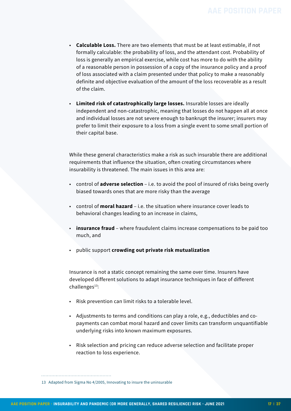- **Calculable Loss.** There are two elements that must be at least estimable, if not formally calculable: the probability of loss, and the attendant cost. Probability of loss is generally an empirical exercise, while cost has more to do with the ability of a reasonable person in possession of a copy of the insurance policy and a proof of loss associated with a claim presented under that policy to make a reasonably definite and objective evaluation of the amount of the loss recoverable as a result of the claim.
- **Limited risk of catastrophically large losses.** Insurable losses are ideally independent and non-catastrophic, meaning that losses do not happen all at once and individual losses are not severe enough to bankrupt the insurer; insurers may prefer to limit their exposure to a loss from a single event to some small portion of their capital base.

While these general characteristics make a risk as such insurable there are additional requirements that influence the situation, often creating circumstances where insurability is threatened. The main issues in this area are:

- control of **adverse selection**  i.e. to avoid the pool of insured of risks being overly biased towards ones that are more risky than the average
- control of **moral hazard**  i.e. the situation where insurance cover leads to behavioral changes leading to an increase in claims,
- **insurance fraud**  where fraudulent claims increase compensations to be paid too much, and
- public support **crowding out private risk mutualization**

Insurance is not a static concept remaining the same over time. Insurers have developed different solutions to adapt insurance techniques in face of different  $chall$ enges $^{13}$ :

- Risk prevention can limit risks to a tolerable level.
- Adjustments to terms and conditions can play a role, e.g., deductibles and copayments can combat moral hazard and cover limits can transform unquantifiable underlying risks into known maximum exposures.
- Risk selection and pricing can reduce adverse selection and facilitate proper reaction to loss experience.

<sup>13</sup> Adapted from Sigma No 4/2005, Innovating to insure the uninsurable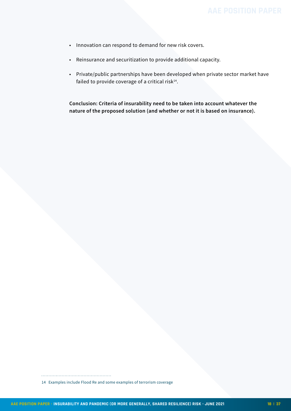- Innovation can respond to demand for new risk covers.
- Reinsurance and securitization to provide additional capacity.
- Private/public partnerships have been developed when private sector market have failed to provide coverage of a critical risk $14$ .

**Conclusion: Criteria of insurability need to be taken into account whatever the nature of the proposed solution (and whether or not it is based on insurance).**

<sup>14</sup> Examples include Flood Re and some examples of terrorism coverage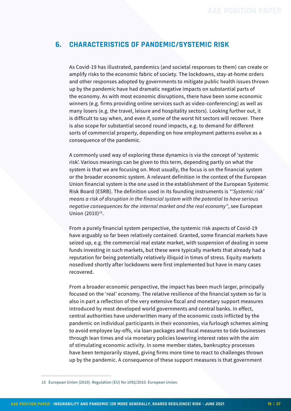### <span id="page-18-0"></span>**6. CHARACTERISTICS OF PANDEMIC/SYSTEMIC RISK**

As Covid-19 has illustrated, pandemics (and societal responses to them) can create or amplify risks to the economic fabric of society. The lockdowns, stay-at-home orders and other responses adopted by governments to mitigate public health issues thrown up by the pandemic have had dramatic negative impacts on substantial parts of the economy. As with most economic disruptions, there have been some economic winners (e.g. firms providing online services such as video-conferencing) as well as many losers (e.g. the travel, leisure and hospitality sectors). Looking further out, it is difficult to say when, and even if, some of the worst hit sectors will recover. There is also scope for substantial second round impacts, e.g. to demand for different sorts of commercial property, depending on how employment patterns evolve as a consequence of the pandemic.

A commonly used way of exploring these dynamics is via the concept of 'systemic risk'. Various meanings can be given to this term, depending partly on what the system is that we are focusing on. Most usually, the focus is on the financial system or the broader economic system. A relevant definition in the context of the European Union financial system is the one used in the establishment of the European Systemic Risk Board (ESRB). The definition used in its founding instruments is *"'Systemic risk' means a risk of disruption in the financial system with the potential to have serious negative consequences for the internal market and the real economy"*, see European Union (2010)<sup>15</sup>.

From a purely financial system perspective, the systemic risk aspects of Covid-19 have arguably so far been relatively contained. Granted, some financial markets have seized up, e.g. the commercial real estate market, with suspension of dealing in some funds investing in such markets, but these were typically markets that already had a reputation for being potentially relatively illiquid in times of stress. Equity markets nosedived shortly after lockdowns were first implemented but have in many cases recovered.

From a broader economic perspective, the impact has been much larger, principally focused on the 'real' economy. The relative resilience of the financial system so far is also in part a reflection of the very extensive fiscal and monetary support measures introduced by most developed world governments and central banks. In effect, central authorities have underwritten many of the economic costs inflicted by the pandemic on individual participants in their economies, via furlough schemes aiming to avoid employee lay-offs, via loan packages and fiscal measures to tide businesses through lean times and via monetary policies lowering interest rates with the aim of stimulating economic activity. In some member states, bankruptcy processes have been temporarily stayed, giving firms more time to react to challenges thrown up by the pandemic. A consequence of these support measures is that government

15 European Union (2010). Regulation (EU) No 1092/2010. European Union.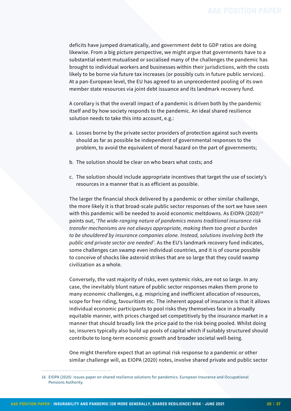deficits have jumped dramatically, and government debt to GDP ratios are doing likewise. From a big picture perspective, we might argue that governments have to a substantial extent mutualised or socialised many of the challenges the pandemic has brought to individual workers and businesses within their jurisdictions, with the costs likely to be borne via future tax increases (or possibly cuts in future public services). At a pan-European level, the EU has agreed to an unprecedented pooling of its own member state resources via joint debt issuance and its landmark recovery fund.

A corollary is that the overall impact of a pandemic is driven both by the pandemic itself and by how society responds to the pandemic. An ideal shared resilience solution needs to take this into account, e.g.:

- a. Losses borne by the private sector providers of protection against such events should as far as possible be independent of governmental responses to the problem, to avoid the equivalent of moral hazard on the part of governments;
- b. The solution should be clear on who bears what costs; and
- c. The solution should include appropriate incentives that target the use of society's resources in a manner that is as efficient as possible.

The larger the financial shock delivered by a pandemic or other similar challenge, the more likely it is that broad-scale public sector responses of the sort we have seen with this pandemic will be needed to avoid economic meltdowns. As EIOPA (2020)<sup>16</sup> points out, *'The wide-ranging nature of pandemics means traditional insurance risk transfer mechanisms are not always appropriate, making them too great a burden to be shouldered by insurance companies alone. Instead, solutions involving both the public and private sector are needed'*. As the EU's landmark recovery fund indicates, some challenges can swamp even individual countries, and it is of course possible to conceive of shocks like asteroid strikes that are so large that they could swamp civilization as a whole.

Conversely, the vast majority of risks, even systemic risks, are not so large. In any case, the inevitably blunt nature of public sector responses makes them prone to many economic challenges, e.g. mispricing and inefficient allocation of resources, scope for free riding, favouritism etc. The inherent appeal of insurance is that it allows individual economic participants to pool risks they themselves face in a broadly equitable manner, with prices charged set competitively by the insurance market in a manner that should broadly link the price paid to the risk being pooled. Whilst doing so, insurers typically also build up pools of capital which if suitably structured should contribute to long-term economic growth and broader societal well-being.

One might therefore expect that an optimal risk response to a pandemic or other similar challenge will, as EIOPA (2020) notes, involve shared private and public sector

<sup>16</sup> EIOPA (2020). Issues paper on shared resilience solutions for pandemics. European Insurance and Occupational Pensions Authority.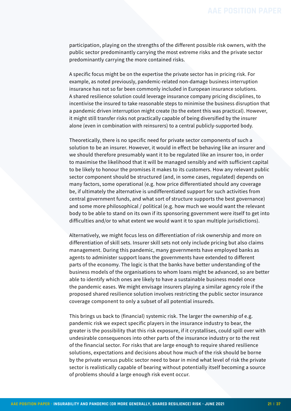participation, playing on the strengths of the different possible risk owners, with the public sector predominantly carrying the most extreme risks and the private sector predominantly carrying the more contained risks.

A specific focus might be on the expertise the private sector has in pricing risk. For example, as noted previously, pandemic-related non-damage business interruption insurance has not so far been commonly included in European insurance solutions. A shared resilience solution could leverage insurance company pricing disciplines, to incentivise the insured to take reasonable steps to minimise the business disruption that a pandemic driven interruption might create (to the extent this was practical). However, it might still transfer risks not practically capable of being diversified by the insurer alone (even in combination with reinsurers) to a central publicly-supported body.

Theoretically, there is no specific need for private sector components of such a solution to be an insurer. However, it would in effect be behaving like an insurer and we should therefore presumably want it to be regulated like an insurer too, in order to maximise the likelihood that it will be managed sensibly and with sufficient capital to be likely to honour the promises it makes to its customers. How any relevant public sector component should be structured (and, in some cases, regulated) depends on many factors, some operational (e.g. how price differentiated should any coverage be, if ultimately the alternative is undifferentiated support for such activities from central government funds, and what sort of structure supports the best governance) and some more philosophical / political (e.g. how much we would want the relevant body to be able to stand on its own if its sponsoring government were itself to get into difficulties and/or to what extent we would want it to span multiple jurisdictions).

Alternatively, we might focus less on differentiation of risk ownership and more on differentiation of skill sets. Insurer skill sets not only include pricing but also claims management. During this pandemic, many governments have employed banks as agents to administer support loans the governments have extended to different parts of the economy. The logic is that the banks have better understanding of the business models of the organisations to whom loans might be advanced, so are better able to identify which ones are likely to have a sustainable business model once the pandemic eases. We might envisage insurers playing a similar agency role if the proposed shared resilience solution involves restricting the public sector insurance coverage component to only a subset of all potential insureds.

This brings us back to (financial) systemic risk. The larger the ownership of e.g. pandemic risk we expect specific players in the insurance industry to bear, the greater is the possibility that this risk exposure, if it crystallises, could spill over with undesirable consequences into other parts of the insurance industry or to the rest of the financial sector. For risks that are large enough to require shared resilience solutions, expectations and decisions about how much of the risk should be borne by the private versus public sector need to bear in mind what level of risk the private sector is realistically capable of bearing without potentially itself becoming a source of problems should a large enough risk event occur.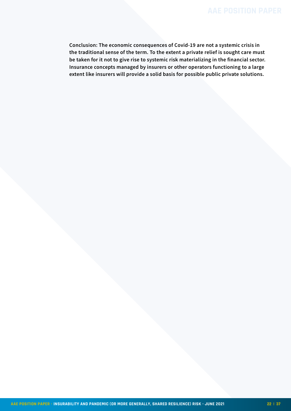**Conclusion: The economic consequences of Covid-19 are not a systemic crisis in the traditional sense of the term. To the extent a private relief is sought care must be taken for it not to give rise to systemic risk materializing in the financial sector. Insurance concepts managed by insurers or other operators functioning to a large extent like insurers will provide a solid basis for possible public private solutions.**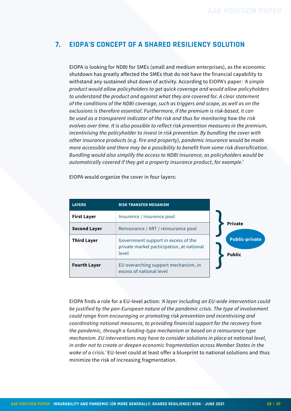# <span id="page-22-0"></span>**7. EIOPA'S CONCEPT OF A SHARED RESILIENCY SOLUTION**

EIOPA is looking for NDBI for SMEs (small and medium enterprises), as the economic shutdown has greatly affected the SMEs that do not have the financial capability to withstand any sustained shut down of activity. According to EIOPA's paper: *'A simple product would allow policyholders to get quick coverage and would allow policyholders to understand the product and against what they are covered for. A clear statement of the conditions of the NDBI coverage, such as triggers and scope, as well as on the exclusions is therefore essential. Furthermore, if the premium is risk-based, it can be used as a transparent indicator of the risk and thus for monitoring how the risk evolves over time. It is also possible to reflect risk prevention measures in the premium, incentivising the policyholder to invest in risk prevention. By bundling the cover with other insurance products (e.g. fire and property), pandemic insurance would be made more accessible and there may be a possibility to benefit from some risk diversification. Bundling would also simplify the access to NDBI insurance, as policyholders would be automatically covered if they get a property insurance product, for example.'*

EIOPA would organize the cover in four layers:

| <b>LAYERS</b>       | <b>RISK TRANSFER MEGANISM</b>                                                             |                                        |  |
|---------------------|-------------------------------------------------------------------------------------------|----------------------------------------|--|
| <b>First Layer</b>  | Insurence / insurence pool                                                                | <b>Private</b>                         |  |
| <b>Second Layer</b> | Reinsurance / ART / reinsurance pool                                                      |                                        |  |
| <b>Third Layer</b>  | Government support in excess of the<br>private market participation, at national<br>level | <b>Public-private</b><br><b>Public</b> |  |
| <b>Fourth Layer</b> | EU overarching support mechanism, in<br>excess of national level                          |                                        |  |

EIOPA finds a role for a EU-level action: *'A layer including an EU-wide intervention could be justified by the pan-European nature of the pandemic crisis. The type of involvement could range from encouraging or promoting risk prevention and incentivising and coordinating national measures, to providing financial support for the recovery from the pandemic, through a funding-type mechanism or based on a reinsurance-type mechanism. EU interventions may have to consider solutions in place at national level, in order not to create or deepen economic fragmentation across Member States in the wake of a crisis.'* EU-level could at least offer a blueprint to national solutions and thus minimize the risk of increasing fragmentation.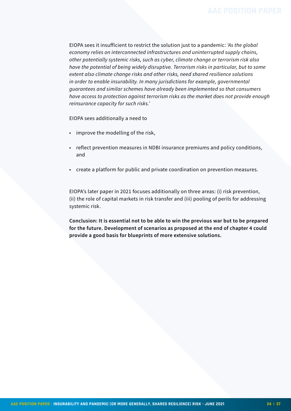EIOPA sees it insufficient to restrict the solution just to a pandemic: *'As the global economy relies on interconnected infrastructures and uninterrupted supply chains, other potentially systemic risks, such as cyber, climate change or terrorism risk also have the potential of being widely disruptive. Terrorism risks in particular, but to some extent also climate change risks and other risks, need shared resilience solutions in order to enable insurability. In many jurisdictions for example, governmental guarantees and similar schemes have already been implemented so that consumers have access to protection against terrorism risks as the market does not provide enough reinsurance capacity for such risks.'*

EIOPA sees additionally a need to

- improve the modelling of the risk,
- reflect prevention measures in NDBI insurance premiums and policy conditions, and
- create a platform for public and private coordination on prevention measures.

EIOPA's later paper in 2021 focuses additionally on three areas: (i) risk prevention, (ii) the role of capital markets in risk transfer and (iii) pooling of perils for addressing systemic risk.

**Conclusion: It is essential not to be able to win the previous war but to be prepared for the future. Development of scenarios as proposed at the end of chapter 4 could provide a good basis for blueprints of more extensive solutions.**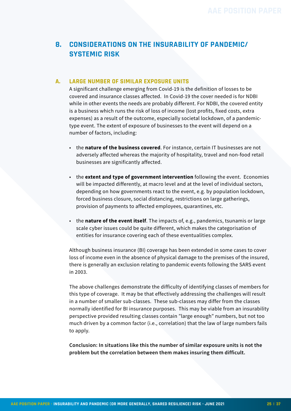# <span id="page-24-0"></span>**8. CONSIDERATIONS ON THE INSURABILITY OF PANDEMIC/ SYSTEMIC RISK**

### **A. LARGE NUMBER OF SIMILAR EXPOSURE UNITS**

A significant challenge emerging from Covid-19 is the definition of losses to be covered and insurance classes affected. In Covid-19 the cover needed is for NDBI while in other events the needs are probably different. For NDBI, the covered entity is a business which runs the risk of loss of income (lost profits, fixed costs, extra expenses) as a result of the outcome, especially societal lockdown, of a pandemictype event. The extent of exposure of businesses to the event will depend on a number of factors, including:

- the **nature of the business covered**. For instance, certain IT businesses are not adversely affected whereas the majority of hospitality, travel and non-food retail businesses are significantly affected.
- the **extent and type of government intervention** following the event. Economies will be impacted differently, at macro level and at the level of individual sectors, depending on how governments react to the event, e.g. by population lockdown, forced business closure, social distancing, restrictions on large gatherings, provision of payments to affected employees, quarantines, etc.
- the **nature of the event itself**. The impacts of, e.g., pandemics, tsunamis or large scale cyber issues could be quite different, which makes the categorisation of entities for insurance covering each of these eventualities complex.

Although business insurance (BI) coverage has been extended in some cases to cover loss of income even in the absence of physical damage to the premises of the insured, there is generally an exclusion relating to pandemic events following the SARS event in 2003.

The above challenges demonstrate the difficulty of identifying classes of members for this type of coverage. It may be that effectively addressing the challenges will result in a number of smaller sub-classes. These sub-classes may differ from the classes normally identified for BI insurance purposes. This may be viable from an insurability perspective provided resulting classes contain "large enough" numbers, but not too much driven by a common factor (i.e., correlation) that the law of large numbers fails to apply.

**Conclusion: In situations like this the number of similar exposure units is not the problem but the correlation between them makes insuring them difficult.**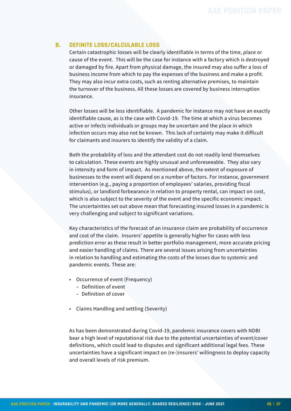#### **B. DEFINITE LOSS/CALCULABLE LOSS**

Certain catastrophic losses will be clearly identifiable in terms of the time, place or cause of the event. This will be the case for instance with a factory which is destroyed or damaged by fire. Apart from physical damage, the insured may also suffer a loss of business income from which to pay the expenses of the business and make a profit. They may also incur extra costs, such as renting alternative premises, to maintain the turnover of the business. All these losses are covered by business interruption insurance.

Other losses will be less identifiable. A pandemic for instance may not have an exactly identifiable cause, as is the case with Covid-19. The time at which a virus becomes active or infects individuals or groups may be uncertain and the place in which infection occurs may also not be known. This lack of certainty may make it difficult for claimants and insurers to identify the validity of a claim.

Both the probability of loss and the attendant cost do not readily lend themselves to calculation. These events are highly unusual and unforeseeable. They also vary in intensity and form of impact. As mentioned above, the extent of exposure of businesses to the event will depend on a number of factors. For instance, government intervention (e.g., paying a proportion of employees' salaries, providing fiscal stimulus), or landlord forbearance in relation to property rental, can impact on cost, which is also subject to the severity of the event and the specific economic impact. The uncertainties set out above mean that forecasting insured losses in a pandemic is very challenging and subject to significant variations.

Key characteristics of the forecast of an insurance claim are probability of occurrence and cost of the claim. Insurers' appetite is generally higher for cases with less prediction error as these result in better portfolio management, more accurate pricing and easier handling of claims. There are several issues arising from uncertainties in relation to handling and estimating the costs of the losses due to systemic and pandemic events. These are:

- Occurrence of event (Frequency)
	- Definition of event
	- Definition of cover
- Claims Handling and settling (Severity)

As has been demonstrated during Covid-19, pandemic insurance covers with NDBI bear a high level of reputational risk due to the potential uncertainties of event/cover definitions, which could lead to disputes and significant additional legal fees. These uncertainties have a significant impact on (re-)insurers' willingness to deploy capacity and overall levels of risk premium.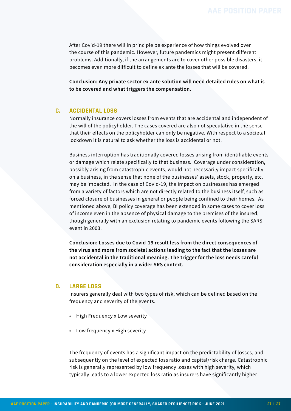After Covid-19 there will in principle be experience of how things evolved over the course of this pandemic. However, future pandemics might present different problems. Additionally, if the arrangements are to cover other possible disasters, it becomes even more difficult to define ex ante the losses that will be covered.

**Conclusion: Any private sector ex ante solution will need detailed rules on what is to be covered and what triggers the compensation.**

#### **C. ACCIDENTAL LOSS**

Normally insurance covers losses from events that are accidental and independent of the will of the policyholder. The cases covered are also not speculative in the sense that their effects on the policyholder can only be negative. With respect to a societal lockdown it is natural to ask whether the loss is accidental or not.

Business interruption has traditionally covered losses arising from identifiable events or damage which relate specifically to that business. Coverage under consideration, possibly arising from catastrophic events, would not necessarily impact specifically on a business, in the sense that none of the businesses' assets, stock, property, etc. may be impacted. In the case of Covid-19, the impact on businesses has emerged from a variety of factors which are not directly related to the business itself, such as forced closure of businesses in general or people being confined to their homes. As mentioned above, BI policy coverage has been extended in some cases to cover loss of income even in the absence of physical damage to the premises of the insured, though generally with an exclusion relating to pandemic events following the SARS event in 2003.

**Conclusion: Losses due to Covid-19 result less from the direct consequences of the virus and more from societal actions leading to the fact that the losses are not accidental in the traditional meaning. The trigger for the loss needs careful consideration especially in a wider SRS context.**

#### **D. LARGE LOSS**

Insurers generally deal with two types of risk, which can be defined based on the frequency and severity of the events.

- High Frequency x Low severity
- Low frequency x High severity

The frequency of events has a significant impact on the predictability of losses, and subsequently on the level of expected loss ratio and capital/risk charge. Catastrophic risk is generally represented by low frequency losses with high severity, which typically leads to a lower expected loss ratio as insurers have significantly higher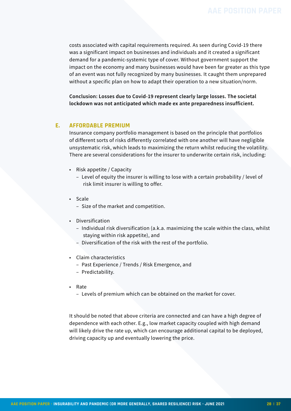costs associated with capital requirements required. As seen during Covid-19 there was a significant impact on businesses and individuals and it created a significant demand for a pandemic-systemic type of cover. Without government support the impact on the economy and many businesses would have been far greater as this type of an event was not fully recognized by many businesses. It caught them unprepared without a specific plan on how to adapt their operation to a new situation/norm.

**Conclusion: Losses due to Covid-19 represent clearly large losses. The societal lockdown was not anticipated which made ex ante preparedness insufficient.**

#### **E. AFFORDABLE PREMIUM**

Insurance company portfolio management is based on the principle that portfolios of different sorts of risks differently correlated with one another will have negligible unsystematic risk, which leads to maximizing the return whilst reducing the volatility. There are several considerations for the insurer to underwrite certain risk, including:

- Risk appetite / Capacity
	- Level of equity the insurer is willing to lose with a certain probability / level of risk limit insurer is willing to offer.
- Scale
	- Size of the market and competition.
- Diversification
	- Individual risk diversification (a.k.a. maximizing the scale within the class, whilst staying within risk appetite), and
	- Diversification of the risk with the rest of the portfolio.
- Claim characteristics
	- Past Experience / Trends / Risk Emergence, and
	- Predictability.
- Rate
	- Levels of premium which can be obtained on the market for cover.

It should be noted that above criteria are connected and can have a high degree of dependence with each other. E.g., low market capacity coupled with high demand will likely drive the rate up, which can encourage additional capital to be deployed, driving capacity up and eventually lowering the price.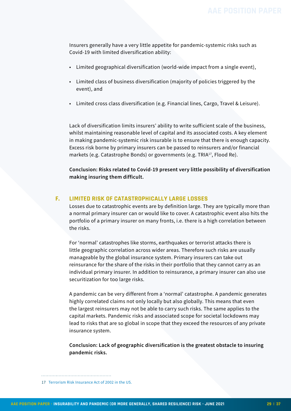Insurers generally have a very little appetite for pandemic-systemic risks such as Covid-19 with limited diversification ability:

- Limited geographical diversification (world-wide impact from a single event),
- Limited class of business diversification (majority of policies triggered by the event), and
- Limited cross class diversification (e.g. Financial lines, Cargo, Travel & Leisure).

Lack of diversification limits insurers' ability to write sufficient scale of the business, whilst maintaining reasonable level of capital and its associated costs. A key element in making pandemic-systemic risk insurable is to ensure that there is enough capacity. Excess risk borne by primary insurers can be passed to reinsurers and/or financial markets (e.g. Catastrophe Bonds) or governments (e.g. TRIA17, Flood Re).

**Conclusion: Risks related to Covid-19 present very little possibility of diversification making insuring them difficult.**

#### **F. LIMITED RISK OF CATASTROPHICALLY LARGE LOSSES**

Losses due to catastrophic events are by definition large. They are typically more than a normal primary insurer can or would like to cover. A catastrophic event also hits the portfolio of a primary insurer on many fronts, i.e. there is a high correlation between the risks.

For 'normal' catastrophes like storms, earthquakes or terrorist attacks there is little geographic correlation across wider areas. Therefore such risks are usually manageable by the global insurance system. Primary insurers can take out reinsurance for the share of the risks in their portfolio that they cannot carry as an individual primary insurer. In addition to reinsurance, a primary insurer can also use securitization for too large risks.

A pandemic can be very different from a 'normal' catastrophe. A pandemic generates highly correlated claims not only locally but also globally. This means that even the largest reinsurers may not be able to carry such risks. The same applies to the capital markets. Pandemic risks and associated scope for societal lockdowns may lead to risks that are so global in scope that they exceed the resources of any private insurance system.

**Conclusion: Lack of geographic diversification is the greatest obstacle to insuring pandemic risks.**

<sup>17</sup> [Terrorism Risk Insurance Act of 2002 in the US.](https://en.wikipedia.org/wiki/Terrorism_Risk_Insurance_Act)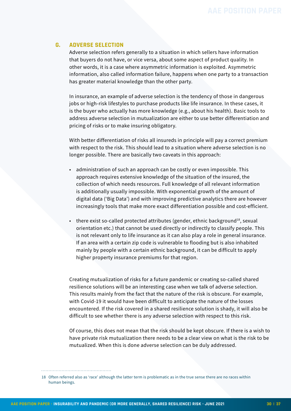#### **G. ADVERSE SELECTION**

Adverse selection refers generally to a situation in which sellers have information that buyers do not have, or vice versa, about some aspect of product quality. In other words, it is a case where asymmetric information is exploited. Asymmetric information, also called information failure, happens when one party to a transaction has greater material knowledge than the other party.

In insurance, an example of adverse selection is the tendency of those in dangerous jobs or high-risk lifestyles to purchase products like life insurance. In these cases, it is the buyer who actually has more knowledge (e.g., about his health). Basic tools to address adverse selection in mutualization are either to use better differentiation and pricing of risks or to make insuring obligatory.

With better differentiation of risks all insureds in principle will pay a correct premium with respect to the risk. This should lead to a situation where adverse selection is no longer possible. There are basically two caveats in this approach:

- administration of such an approach can be costly or even impossible. This approach requires extensive knowledge of the situation of the insured, the collection of which needs resources. Full knowledge of all relevant information is additionally usually impossible. With exponential growth of the amount of digital data ('Big Data') and with improving predictive analytics there are however increasingly tools that make more exact differentiation possible and cost-efficient.
- there exist so-called protected attributes (gender, ethnic background<sup>18</sup>, sexual orientation etc.) that cannot be used directly or indirectly to classify people. This is not relevant only to life insurance as it can also play a role in general insurance. If an area with a certain zip code is vulnerable to flooding but is also inhabited mainly by people with a certain ethnic background, it can be difficult to apply higher property insurance premiums for that region.

Creating mutualization of risks for a future pandemic or creating so-called shared resilience solutions will be an interesting case when we talk of adverse selection. This results mainly from the fact that the nature of the risk is obscure. For example, with Covid-19 it would have been difficult to anticipate the nature of the losses encountered. If the risk covered in a shared resilience solution is shady, it will also be difficult to see whether there is any adverse selection with respect to this risk.

Of course, this does not mean that the risk should be kept obscure. If there is a wish to have private risk mutualization there needs to be a clear view on what is the risk to be mutualized. When this is done adverse selection can be duly addressed.

<sup>18</sup> Often referred also as 'race' although the latter term is problematic as in the true sense there are no races within human beings.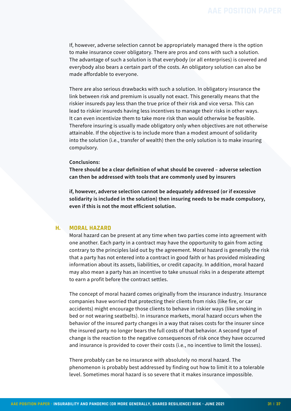If, however, adverse selection cannot be appropriately managed there is the option to make insurance cover obligatory. There are pros and cons with such a solution. The advantage of such a solution is that everybody (or all enterprises) is covered and everybody also bears a certain part of the costs. An obligatory solution can also be made affordable to everyone.

There are also serious drawbacks with such a solution. In obligatory insurance the link between risk and premium is usually not exact. This generally means that the riskier insureds pay less than the true price of their risk and vice versa. This can lead to riskier insureds having less incentives to manage their risks in other ways. It can even incentivize them to take more risk than would otherwise be feasible. Therefore insuring is usually made obligatory only when objectives are not otherwise attainable. If the objective is to include more than a modest amount of solidarity into the solution (i.e., transfer of wealth) then the only solution is to make insuring compulsory.

#### **Conclusions:**

**There should be a clear definition of what should be covered – adverse selection can then be addressed with tools that are commonly used by insurers**

**if, however, adverse selection cannot be adequately addressed (or if excessive solidarity is included in the solution) then insuring needs to be made compulsory, even if this is not the most efficient solution.**

#### **H. MORAL HAZARD**

Moral hazard can be present at any time when two parties come into agreement with one another. Each party in a contract may have the opportunity to gain from acting contrary to the principles laid out by the agreement. Moral hazard is generally the risk that a party has not entered into a contract in good faith or has provided misleading information about its assets, liabilities, or credit capacity. In addition, moral hazard may also mean a party has an incentive to take unusual risks in a desperate attempt to earn a profit before the contract settles.

The concept of moral hazard comes originally from the insurance industry. Insurance companies have worried that protecting their clients from risks (like fire, or car accidents) might encourage those clients to behave in riskier ways (like smoking in bed or not wearing seatbelts). In insurance markets, moral hazard occurs when the behavior of the insured party changes in a way that raises costs for the insurer since the insured party no longer bears the full costs of that behavior. A second type of change is the reaction to the negative consequences of risk once they have occurred and insurance is provided to cover their costs (i.e., no incentive to limit the losses).

There probably can be no insurance with absolutely no moral hazard. The phenomenon is probably best addressed by finding out how to limit it to a tolerable level. Sometimes moral hazard is so severe that it makes insurance impossible.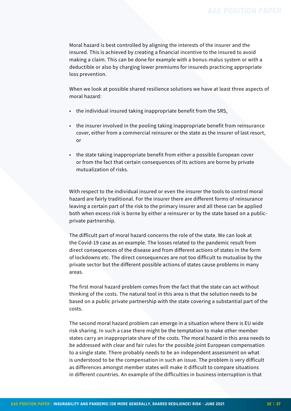Moral hazard is best controlled by aligning the interests of the insurer and the insured. This is achieved by creating a financial incentive to the insured to avoid making a claim. This can be done for example with a bonus-malus system or with a deductible or also by charging lower premiums for insureds practicing appropriate loss prevention.

When we look at possible shared resilience solutions we have at least three aspects of moral hazard:

- the individual insured taking inappropriate benefit from the SRS,
- the insurer involved in the pooling taking inappropriate benefit from reinsurance cover, either from a commercial reinsurer or the state as the insurer of last resort, or
- the state taking inappropriate benefit from either a possible European cover or from the fact that certain consequences of its actions are borne by private mutualization of risks.

With respect to the individual insured or even the insurer the tools to control moral hazard are fairly traditional. For the insurer there are different forms of reinsurance leaving a certain part of the risk to the primary insurer and all these can be applied both when excess risk is borne by either a reinsurer or by the state based on a publicprivate partnership.

The difficult part of moral hazard concerns the role of the state. We can look at the Covid-19 case as an example. The losses related to the pandemic result from direct consequences of the disease and from different actions of states in the form of lockdowns etc. The direct consequences are not too difficult to mutualise by the private sector but the different possible actions of states cause problems in many areas.

The first moral hazard problem comes from the fact that the state can act without thinking of the costs. The natural tool in this area is that the solution needs to be based on a public private partnership with the state covering a substantial part of the costs.

The second moral hazard problem can emerge in a situation where there is EU wide risk sharing. In such a case there might be the temptation to make other member states carry an inappropriate share of the costs. The moral hazard in this area needs to be addressed with clear and fair rules for the possible joint European compensation to a single state. There probably needs to be an independent assessment on what is understood to be the compensation in such an issue. The problem is very difficult as differences amongst member states will make it difficult to compare situations in different countries. An example of the difficulties in business interruption is that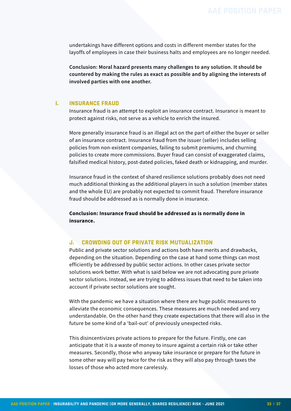undertakings have different options and costs in different member states for the layoffs of employees in case their business halts and employees are no longer needed.

**Conclusion: Moral hazard presents many challenges to any solution. It should be countered by making the rules as exact as possible and by aligning the interests of involved parties with one another.**

#### **I. INSURANCE FRAUD**

Insurance fraud is an attempt to exploit an insurance contract. Insurance is meant to protect against risks, not serve as a vehicle to enrich the insured.

More generally insurance fraud is an illegal act on the part of either the buyer or seller of an insurance contract. Insurance fraud from the issuer (seller) includes selling policies from non-existent companies, failing to submit premiums, and churning policies to create more commissions. Buyer fraud can consist of exaggerated claims, falsified medical history, post-dated policies, faked death or kidnapping, and murder.

Insurance fraud in the context of shared resilience solutions probably does not need much additional thinking as the additional players in such a solution (member states and the whole EU) are probably not expected to commit fraud. Therefore insurance fraud should be addressed as is normally done in insurance.

**Conclusion: Insurance fraud should be addressed as is normally done in insurance.**

#### **J. CROWDING OUT OF PRIVATE RISK MUTUALIZATION**

Public and private sector solutions and actions both have merits and drawbacks, depending on the situation. Depending on the case at hand some things can most efficiently be addressed by public sector actions. In other cases private sector solutions work better. With what is said below we are not advocating pure private sector solutions. Instead, we are trying to address issues that need to be taken into account if private sector solutions are sought.

With the pandemic we have a situation where there are huge public measures to alleviate the economic consequences. These measures are much needed and very understandable. On the other hand they create expectations that there will also in the future be some kind of a 'bail-out' of previously unexpected risks.

This disincentivizes private actions to prepare for the future. Firstly, one can anticipate that it is a waste of money to insure against a certain risk or take other measures. Secondly, those who anyway take insurance or prepare for the future in some other way will pay twice for the risk as they will also pay through taxes the losses of those who acted more carelessly.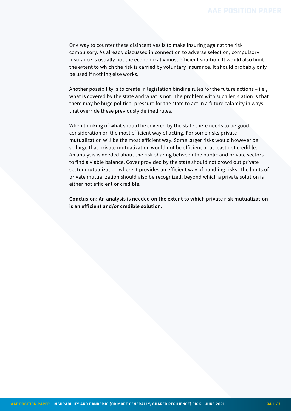One way to counter these disincentives is to make insuring against the risk compulsory. As already discussed in connection to adverse selection, compulsory insurance is usually not the economically most efficient solution. It would also limit the extent to which the risk is carried by voluntary insurance. It should probably only be used if nothing else works.

Another possibility is to create in legislation binding rules for the future actions – i.e., what is covered by the state and what is not. The problem with such legislation is that there may be huge political pressure for the state to act in a future calamity in ways that override these previously defined rules.

When thinking of what should be covered by the state there needs to be good consideration on the most efficient way of acting. For some risks private mutualization will be the most efficient way. Some larger risks would however be so large that private mutualization would not be efficient or at least not credible. An analysis is needed about the risk-sharing between the public and private sectors to find a viable balance. Cover provided by the state should not crowd out private sector mutualization where it provides an efficient way of handling risks. The limits of private mutualization should also be recognized, beyond which a private solution is either not efficient or credible.

**Conclusion: An analysis is needed on the extent to which private risk mutualization is an efficient and/or credible solution.**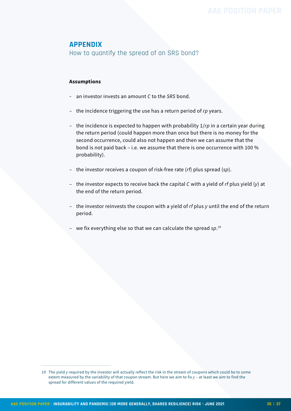### <span id="page-34-0"></span>**APPENDIX**

How to quantify the spread of an SRS bond?

#### **Assumptions**

- an investor invests an amount *C* to the *SRS* bond.
- the incidence triggering the use has a return period of *rp* years.
- the incidence is expected to happen with probability 1/*rp* in a certain year during the return period (could happen more than once but there is no money for the second occurrence, could also not happen and then we can assume that the bond is not paid back – i.e. we assume that there is one occurrence with 100 % probability).
- the investor receives a coupon of risk-free rate (*rf*) plus spread (*sp*).
- the investor expects to receive back the capital *C* with a yield of *rf* plus yield (*y*) at the end of the return period.
- the investor reinvests the coupon with a yield of *rf* plus *y* until the end of the return period.
- we fix everything else so that we can calculate the spread *sp*. 19

<sup>19</sup> The yield *y* required by the investor will actually reflect the risk in the stream of coupons which could be to some extent measured by the variability of that coupon stream. But here we aim to fix *y* – at least we aim to find the spread for different values of the required yield.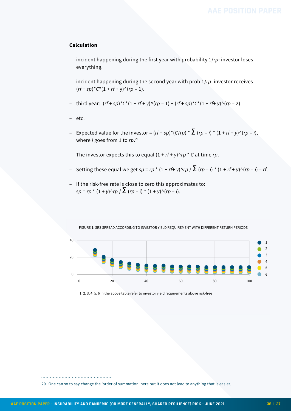#### **Calculation**

- incident happening during the first year with probability 1/*rp*: investor loses everything.
- incident happening during the second year with prob 1/*rp*: investor receives  $(rf + sp)^{\star}C^{\star}(1 + rf + v)^{\wedge}(rp - 1).$
- third year:  $(rf + sp)^*C^*(1 + rf + y) \wedge (rp 1) + (rf + sp)^*C^*(1 + rf + y) \wedge (rp 2)$ .
- etc.
- Expected value for the investor =  $(rf + sp)^*(C/rp) * \sum (rp i) * (1 + rf + y)^{(r-p i)}$ , where *i* goes from 1 to *rp*. 20
- The investor expects this to equal  $(1 + rf + y)^n$ rp  $*$  C at time *rp*.
- Setting these equal we get  $sp = rp * (1 + rf + y) \cdot rp / \sum (rp i) * (1 + rf + y) \cdot (rp i) rf$ .
- If the risk-free rate is close to zero this approximates to:  $sp = rp * (1 + y)^{n}rp / \sum (rp - i) * (1 + y)^{n}(rp - i).$

FIGURE 1: SRS SPREAD ACCORDING TO INVESTOR YIELD REQUIREMENT WITH DIFFERENT RETURN PERIODS



1, 2, 3, 4, 5, 6 in the above table refer to investor yield requirements above risk-free

20 One can so to say change the 'order of summation' here but it does not lead to anything that is easier.